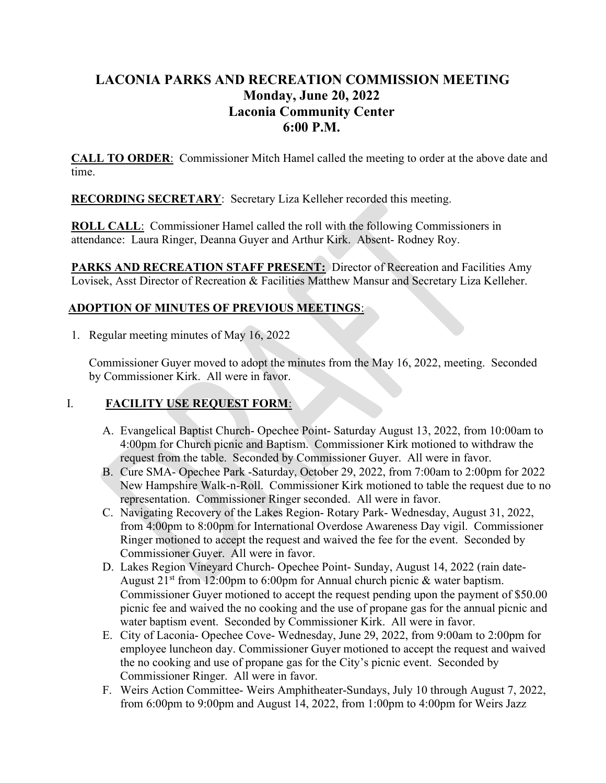# LACONIA PARKS AND RECREATION COMMISSION MEETING Monday, June 20, 2022 Laconia Community Center 6:00 P.M.

CALL TO ORDER: Commissioner Mitch Hamel called the meeting to order at the above date and time.

RECORDING SECRETARY: Secretary Liza Kelleher recorded this meeting.

ROLL CALL: Commissioner Hamel called the roll with the following Commissioners in attendance: Laura Ringer, Deanna Guyer and Arthur Kirk. Absent- Rodney Roy.

PARKS AND RECREATION STAFF PRESENT: Director of Recreation and Facilities Amy Lovisek, Asst Director of Recreation & Facilities Matthew Mansur and Secretary Liza Kelleher.

## ADOPTION OF MINUTES OF PREVIOUS MEETINGS:

1. Regular meeting minutes of May 16, 2022

Commissioner Guyer moved to adopt the minutes from the May 16, 2022, meeting. Seconded by Commissioner Kirk. All were in favor.

## I. FACILITY USE REQUEST FORM:

- A. Evangelical Baptist Church- Opechee Point- Saturday August 13, 2022, from 10:00am to 4:00pm for Church picnic and Baptism. Commissioner Kirk motioned to withdraw the request from the table. Seconded by Commissioner Guyer. All were in favor.
- B. Cure SMA- Opechee Park -Saturday, October 29, 2022, from 7:00am to 2:00pm for 2022 New Hampshire Walk-n-Roll. Commissioner Kirk motioned to table the request due to no representation. Commissioner Ringer seconded. All were in favor.
- C. Navigating Recovery of the Lakes Region- Rotary Park- Wednesday, August 31, 2022, from 4:00pm to 8:00pm for International Overdose Awareness Day vigil. Commissioner Ringer motioned to accept the request and waived the fee for the event. Seconded by Commissioner Guyer. All were in favor.
- D. Lakes Region Vineyard Church- Opechee Point- Sunday, August 14, 2022 (rain date-August  $21^{st}$  from 12:00pm to 6:00pm for Annual church picnic & water baptism. Commissioner Guyer motioned to accept the request pending upon the payment of \$50.00 picnic fee and waived the no cooking and the use of propane gas for the annual picnic and water baptism event. Seconded by Commissioner Kirk. All were in favor.
- E. City of Laconia- Opechee Cove- Wednesday, June 29, 2022, from 9:00am to 2:00pm for employee luncheon day. Commissioner Guyer motioned to accept the request and waived the no cooking and use of propane gas for the City's picnic event. Seconded by Commissioner Ringer. All were in favor.
- F. Weirs Action Committee- Weirs Amphitheater-Sundays, July 10 through August 7, 2022, from 6:00pm to 9:00pm and August 14, 2022, from 1:00pm to 4:00pm for Weirs Jazz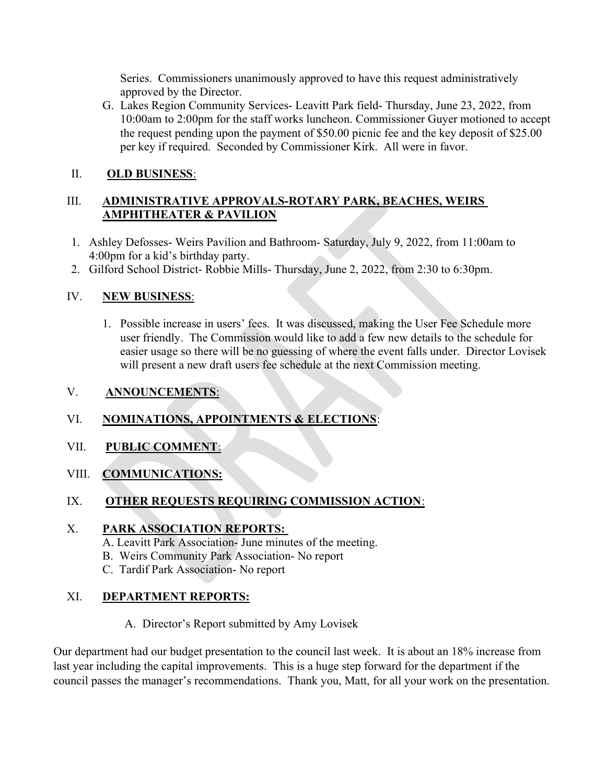Series. Commissioners unanimously approved to have this request administratively approved by the Director.

G. Lakes Region Community Services- Leavitt Park field- Thursday, June 23, 2022, from 10:00am to 2:00pm for the staff works luncheon. Commissioner Guyer motioned to accept the request pending upon the payment of \$50.00 picnic fee and the key deposit of \$25.00 per key if required. Seconded by Commissioner Kirk. All were in favor.

## II. OLD BUSINESS:

## III. ADMINISTRATIVE APPROVALS-ROTARY PARK, BEACHES, WEIRS AMPHITHEATER & PAVILION

- 1. Ashley Defosses- Weirs Pavilion and Bathroom- Saturday, July 9, 2022, from 11:00am to 4:00pm for a kid's birthday party.
- 2. Gilford School District- Robbie Mills- Thursday, June 2, 2022, from 2:30 to 6:30pm.

## IV. NEW BUSINESS:

1. Possible increase in users' fees. It was discussed, making the User Fee Schedule more user friendly. The Commission would like to add a few new details to the schedule for easier usage so there will be no guessing of where the event falls under. Director Lovisek will present a new draft users fee schedule at the next Commission meeting.

### V. ANNOUNCEMENTS:

## VI. NOMINATIONS, APPOINTMENTS & ELECTIONS:

### VII. PUBLIC COMMENT:

### VIII. COMMUNICATIONS:

## IX. OTHER REQUESTS REQUIRING COMMISSION ACTION:

### X. PARK ASSOCIATION REPORTS:

A. Leavitt Park Association- June minutes of the meeting.

- B. Weirs Community Park Association- No report
- C. Tardif Park Association- No report

## XI. DEPARTMENT REPORTS:

### A. Director's Report submitted by Amy Lovisek

Our department had our budget presentation to the council last week. It is about an 18% increase from last year including the capital improvements. This is a huge step forward for the department if the council passes the manager's recommendations. Thank you, Matt, for all your work on the presentation.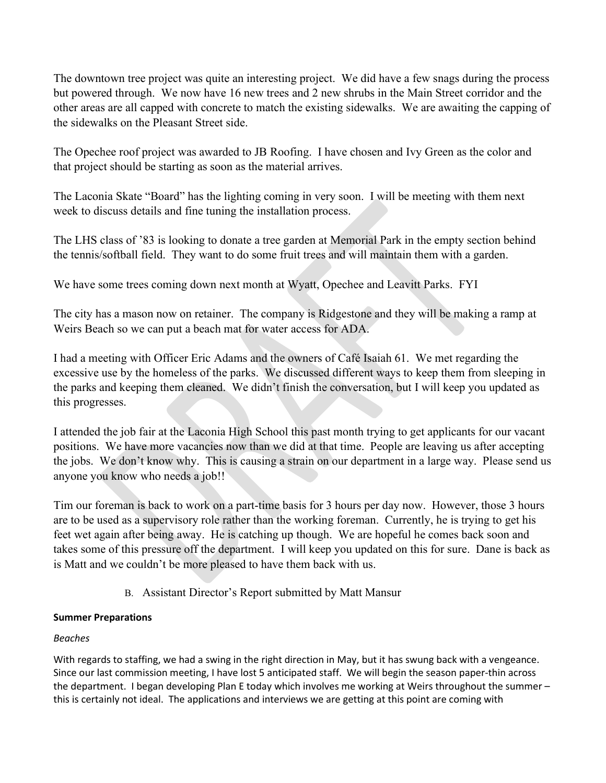The downtown tree project was quite an interesting project. We did have a few snags during the process but powered through. We now have 16 new trees and 2 new shrubs in the Main Street corridor and the other areas are all capped with concrete to match the existing sidewalks. We are awaiting the capping of the sidewalks on the Pleasant Street side.

The Opechee roof project was awarded to JB Roofing. I have chosen and Ivy Green as the color and that project should be starting as soon as the material arrives.

The Laconia Skate "Board" has the lighting coming in very soon. I will be meeting with them next week to discuss details and fine tuning the installation process.

The LHS class of '83 is looking to donate a tree garden at Memorial Park in the empty section behind the tennis/softball field. They want to do some fruit trees and will maintain them with a garden.

We have some trees coming down next month at Wyatt, Opechee and Leavitt Parks. FYI

The city has a mason now on retainer. The company is Ridgestone and they will be making a ramp at Weirs Beach so we can put a beach mat for water access for ADA.

I had a meeting with Officer Eric Adams and the owners of Café Isaiah 61. We met regarding the excessive use by the homeless of the parks. We discussed different ways to keep them from sleeping in the parks and keeping them cleaned. We didn't finish the conversation, but I will keep you updated as this progresses.

I attended the job fair at the Laconia High School this past month trying to get applicants for our vacant positions. We have more vacancies now than we did at that time. People are leaving us after accepting the jobs. We don't know why. This is causing a strain on our department in a large way. Please send us anyone you know who needs a job!!

Tim our foreman is back to work on a part-time basis for 3 hours per day now. However, those 3 hours are to be used as a supervisory role rather than the working foreman. Currently, he is trying to get his feet wet again after being away. He is catching up though. We are hopeful he comes back soon and takes some of this pressure off the department. I will keep you updated on this for sure. Dane is back as is Matt and we couldn't be more pleased to have them back with us.

B. Assistant Director's Report submitted by Matt Mansur

### Summer Preparations

#### Beaches

With regards to staffing, we had a swing in the right direction in May, but it has swung back with a vengeance. Since our last commission meeting, I have lost 5 anticipated staff. We will begin the season paper-thin across the department. I began developing Plan E today which involves me working at Weirs throughout the summer – this is certainly not ideal. The applications and interviews we are getting at this point are coming with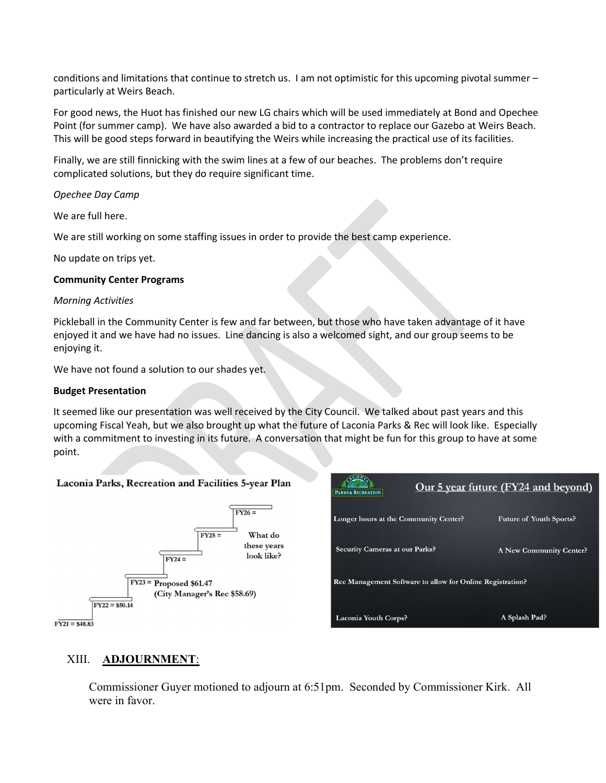conditions and limitations that continue to stretch us. I am not optimistic for this upcoming pivotal summer – particularly at Weirs Beach.

For good news, the Huot has finished our new LG chairs which will be used immediately at Bond and Opechee Point (for summer camp). We have also awarded a bid to a contractor to replace our Gazebo at Weirs Beach. This will be good steps forward in beautifying the Weirs while increasing the practical use of its facilities.

Finally, we are still finnicking with the swim lines at a few of our beaches. The problems don't require complicated solutions, but they do require significant time.

#### Opechee Day Camp

We are full here.

We are still working on some staffing issues in order to provide the best camp experience.

No update on trips yet.

#### Community Center Programs

#### Morning Activities

Pickleball in the Community Center is few and far between, but those who have taken advantage of it have enjoyed it and we have had no issues. Line dancing is also a welcomed sight, and our group seems to be enjoying it.

We have not found a solution to our shades yet.

#### Budget Presentation

It seemed like our presentation was well received by the City Council. We talked about past years and this upcoming Fiscal Yeah, but we also brought up what the future of Laconia Parks & Rec will look like. Especially with a commitment to investing in its future. A conversation that might be fun for this group to have at some point.

#### Laconia Parks, Recreation and Facilities 5-year Plan



| PARKS & RECREATION                                        | Our 5 year future (FY24 and beyond) |
|-----------------------------------------------------------|-------------------------------------|
| Longer hours at the Community Center?                     | <b>Future of Youth Sports?</b>      |
| <b>Security Cameras at our Parks?</b>                     | A New Community Center?             |
| Rec Management Software to allow for Online Registration? |                                     |
| <b>Laconia Youth Corps?</b>                               | A Splash Pad?                       |

#### XIII. ADJOURNMENT:

Commissioner Guyer motioned to adjourn at 6:51pm. Seconded by Commissioner Kirk. All were in favor.